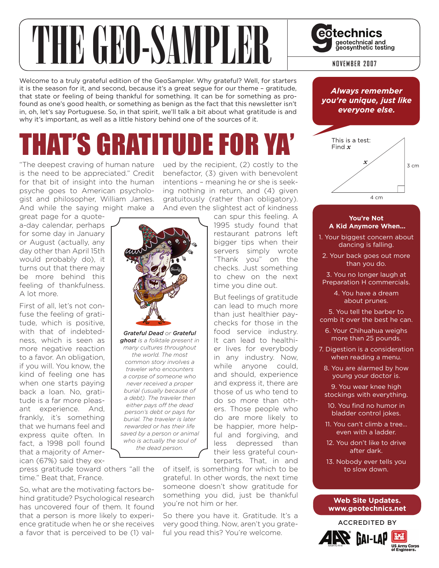# **THE GEORAND BUREAU SURVEY SURVEY SURVEY SURVEY SURVEY AND RECORDING A LOCAL DISPONSITY DUPIDED AT A LOCAL PROPER POWER 2007**

Welcome to a truly grateful edition of the GeoSampler. Why grateful? Well, for starters it is the season for it, and second, because it's a great segue for our theme – gratitude, that state or feeling of being thankful for something. It can be for something as profound as one's good health, or something as benign as the fact that this newsletter isn't in, oh, let's say Portuguese. So, in that spirit, we'll talk a bit about what gratitude is and why it's important, as well as a little history behind one of the sources of it.

## HAT'S GRATITUDE FOR

"The deepest craving of human nature is the need to be appreciated." Credit for that bit of insight into the human psyche goes to American psychologist and philosopher, William James. And while the saying might make a

great page for a quotea-day calendar, perhaps for some day in January or August (actually, any day other than April 15th would probably do), it turns out that there may be more behind this feeling of thankfulness. A lot more.

First of all, let's not confuse the feeling of gratitude, which is positive, with that of indebtedness, which is seen as more negative reaction to a favor. An obligation, if you will. You know, the kind of feeling one has when one starts paying back a loan. No, gratitude is a far more pleasant experience. And, frankly, it's something that we humans feel and express quite often. In fact, a 1998 poll found that a majority of American (67%) said they ex-



*Grateful Dead or Grateful ghost is a folktale present in many cultures throughout the world. The most common story involves a traveler who encounters a corpse of someone who never received a proper burial (usually because of a debt). The traveler then either pays off the dead person's debt or pays for burial. The traveler is later rewarded or has their life saved by a person or animal who is actually the soul of the dead person.*

press gratitude toward others "all the time." Beat that, France.

So, what are the motivating factors behind gratitude? Psychological research has uncovered four of them. It found that a person is more likely to experience gratitude when he or she receives a favor that is perceived to be (1) valued by the recipient, (2) costly to the benefactor, (3) given with benevolent intentions – meaning he or she is seeking nothing in return, and (4) given gratuitously (rather than obligatory). And even the slightest act of kindness

> can spur this feeling. A 1995 study found that restaurant patrons left bigger tips when their servers simply wrote "Thank you" on the checks. Just something to chew on the next time you dine out.

> But feelings of gratitude can lead to much more than just healthier paychecks for those in the food service industry. It can lead to healthier lives for everybody in any industry. Now, while anyone could, and should, experience and express it, there are those of us who tend to do so more than others. Those people who do are more likely to be happier, more helpful and forgiving, and less depressed than their less grateful counterparts. That, in and

of itself, is something for which to be grateful. In other words, the next time someone doesn't show gratitude for something you did, just be thankful you're not him or her.

So there you have it. Gratitude. It's a very good thing. Now, aren't you grateful you read this? You're welcome.



#### **You're Not A Kid Anymore When...**

- 1. Your biggest concern about dancing is falling.
- 2. Your back goes out more than you do.
- 3. You no longer laugh at Preparation H commercials.
	- 4. You have a dream about prunes.
- 5. You tell the barber to comb it over the best he can.
- 6. Your Chihuahua weighs more than 25 pounds.
- 7. Digestion is a consideration when reading a menu.
- 8. You are alarmed by how young your doctor is.
- 9. You wear knee high stockings with everything.
- 10. You find no humor in bladder control jokes.
- 11. You can't climb a tree... even with a ladder.
- 12. You don't like to drive after dark.
- 13. Nobody ever tells you to slow down.

#### **Web Site Updates. www.geotechnics.net**